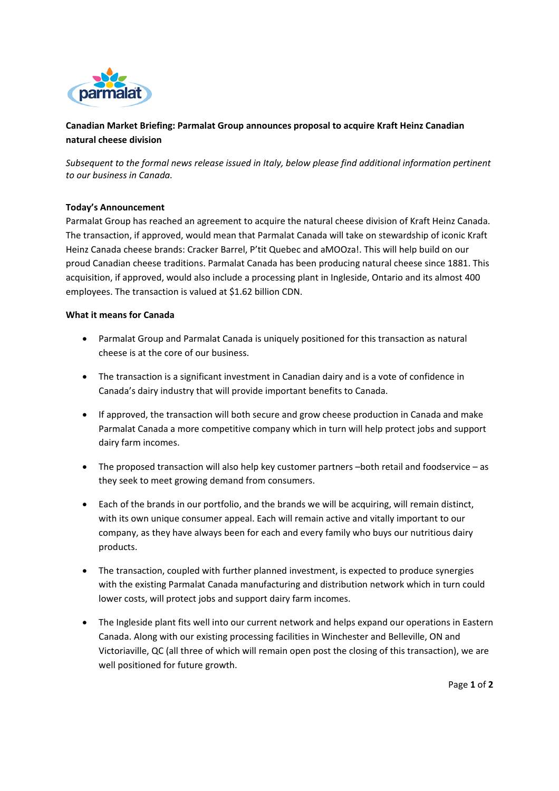

# **Canadian Market Briefing: Parmalat Group announces proposal to acquire Kraft Heinz Canadian natural cheese division**

*Subsequent to the formal news release issued in Italy, below please find additional information pertinent to our business in Canada.* 

## **Today's Announcement**

Parmalat Group has reached an agreement to acquire the natural cheese division of Kraft Heinz Canada. The transaction, if approved, would mean that Parmalat Canada will take on stewardship of iconic Kraft Heinz Canada cheese brands: Cracker Barrel, P'tit Quebec and aMOOza!. This will help build on our proud Canadian cheese traditions. Parmalat Canada has been producing natural cheese since 1881. This acquisition, if approved, would also include a processing plant in Ingleside, Ontario and its almost 400 employees. The transaction is valued at \$1.62 billion CDN.

### **What it means for Canada**

- Parmalat Group and Parmalat Canada is uniquely positioned for this transaction as natural cheese is at the core of our business.
- The transaction is a significant investment in Canadian dairy and is a vote of confidence in Canada's dairy industry that will provide important benefits to Canada.
- If approved, the transaction will both secure and grow cheese production in Canada and make Parmalat Canada a more competitive company which in turn will help protect jobs and support dairy farm incomes.
- The proposed transaction will also help key customer partners –both retail and foodservice as they seek to meet growing demand from consumers.
- Each of the brands in our portfolio, and the brands we will be acquiring, will remain distinct, with its own unique consumer appeal. Each will remain active and vitally important to our company, as they have always been for each and every family who buys our nutritious dairy products.
- The transaction, coupled with further planned investment, is expected to produce synergies with the existing Parmalat Canada manufacturing and distribution network which in turn could lower costs, will protect jobs and support dairy farm incomes.
- The Ingleside plant fits well into our current network and helps expand our operations in Eastern Canada. Along with our existing processing facilities in Winchester and Belleville, ON and Victoriaville, QC (all three of which will remain open post the closing of this transaction), we are well positioned for future growth.